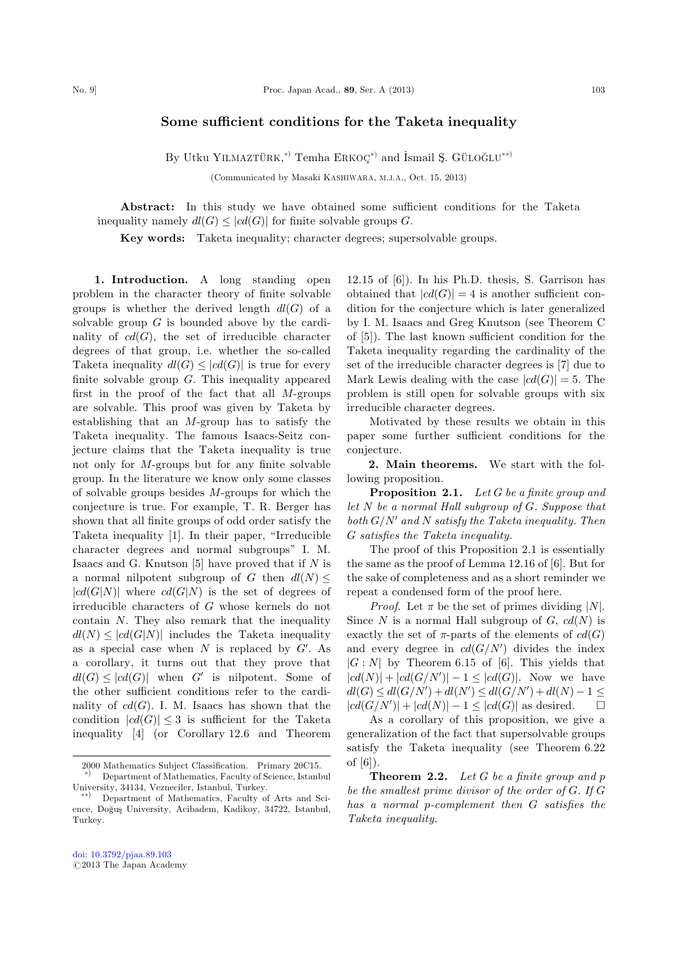## Some sufficient conditions for the Taketa inequality

By Utku YILMAZTÜRK,<sup>\*)</sup> Temha  $\text{ERKOQ}^{*}$  and İsmail Ş. GÜLOĞLU\*\*)

(Communicated by Masaki KASHIWARA, M.J.A., Oct. 15, 2013)

Abstract: In this study we have obtained some sufficient conditions for the Taketa inequality namely  $dl(G) \leq |cd(G)|$  for finite solvable groups G.

Key words: Taketa inequality; character degrees; supersolvable groups.

1. Introduction. A long standing open problem in the character theory of finite solvable groups is whether the derived length  $dl(G)$  of a solvable group  $G$  is bounded above by the cardinality of  $cd(G)$ , the set of irreducible character degrees of that group, i.e. whether the so-called Taketa inequality  $dl(G) \leq |cd(G)|$  is true for every finite solvable group  $G$ . This inequality appeared first in the proof of the fact that all  $M$ -groups are solvable. This proof was given by Taketa by establishing that an M-group has to satisfy the Taketa inequality. The famous Isaacs-Seitz conjecture claims that the Taketa inequality is true not only for M-groups but for any finite solvable group. In the literature we know only some classes of solvable groups besides  $M$ -groups for which the conjecture is true. For example, T. R. Berger has shown that all finite groups of odd order satisfy the Taketa inequality [1]. In their paper, ''Irreducible character degrees and normal subgroups'' I. M. Isaacs and G. Knutson  $[5]$  have proved that if N is a normal nilpotent subgroup of G then  $dl(N) \leq$  $|cd(G|N)|$  where  $cd(G|N)$  is the set of degrees of irreducible characters of G whose kernels do not contain N. They also remark that the inequality  $dl(N) \leq |cd(G|N)|$  includes the Taketa inequality as a special case when  $N$  is replaced by  $G'$ . As a corollary, it turns out that they prove that  $dl(G) \leq |cd(G)|$  when G' is nilpotent. Some of the other sufficient conditions refer to the cardinality of  $cd(G)$ . I. M. Isaacs has shown that the condition  $|cd(G)| \leq 3$  is sufficient for the Taketa inequality [4] (or Corollary 12.6 and Theorem

12.15 of [6]). In his Ph.D. thesis, S. Garrison has obtained that  $|cd(G)| = 4$  is another sufficient condition for the conjecture which is later generalized by I. M. Isaacs and Greg Knutson (see Theorem C of [5]). The last known sufficient condition for the Taketa inequality regarding the cardinality of the set of the irreducible character degrees is [7] due to Mark Lewis dealing with the case  $|cd(G)| = 5$ . The problem is still open for solvable groups with six irreducible character degrees.

Motivated by these results we obtain in this paper some further sufficient conditions for the conjecture.

2. Main theorems. We start with the following proposition.

Proposition 2.1. Let G be a finite group and let  $N$  be a normal Hall subgroup of  $G$ . Suppose that both  $G/N'$  and N satisfy the Taketa inequality. Then G satisfies the Taketa inequality.

The proof of this Proposition 2.1 is essentially the same as the proof of Lemma 12.16 of [6]. But for the sake of completeness and as a short reminder we repeat a condensed form of the proof here.

*Proof.* Let  $\pi$  be the set of primes dividing |N|. Since N is a normal Hall subgroup of G,  $cd(N)$  is exactly the set of  $\pi$ -parts of the elements of  $cd(G)$ and every degree in  $cd(G/N')$  divides the index  $|G:N|$  by Theorem 6.15 of [6]. This yields that  $|cd(N)|+|cd(G/N')|-1\leq|cd(G)|.$  Now we have  $dl(G) \leq dl(G/N') + dl(N') \leq dl(G/N') + dl(N) - 1 \leq$  $|cd(G/N')| + |cd(N)| - 1 \leq |cd(G)|$  as desired.  $\Box$  $\Box$ 

As a corollary of this proposition, we give a generalization of the fact that supersolvable groups satisfy the Taketa inequality (see Theorem 6.22 of [6]).

**Theorem 2.2.** Let  $G$  be a finite group and  $p$ be the smallest prime divisor of the order of G. If G has a normal p-complement then G satisfies the Taketa inequality.

<sup>2000</sup> Mathematics Subject Classification. Primary 20C15. \*) Department of Mathematics, Faculty of Science, Istanbul

University, 34134, Vezneciler, Istanbul, Turkey.<br>
Popertment of Methematics, Foculty of

<sup>Þ</sup> Department of Mathematics, Faculty of Arts and Science, Doğuş University, Acibadem, Kadikoy, 34722, Istanbul, Turkey.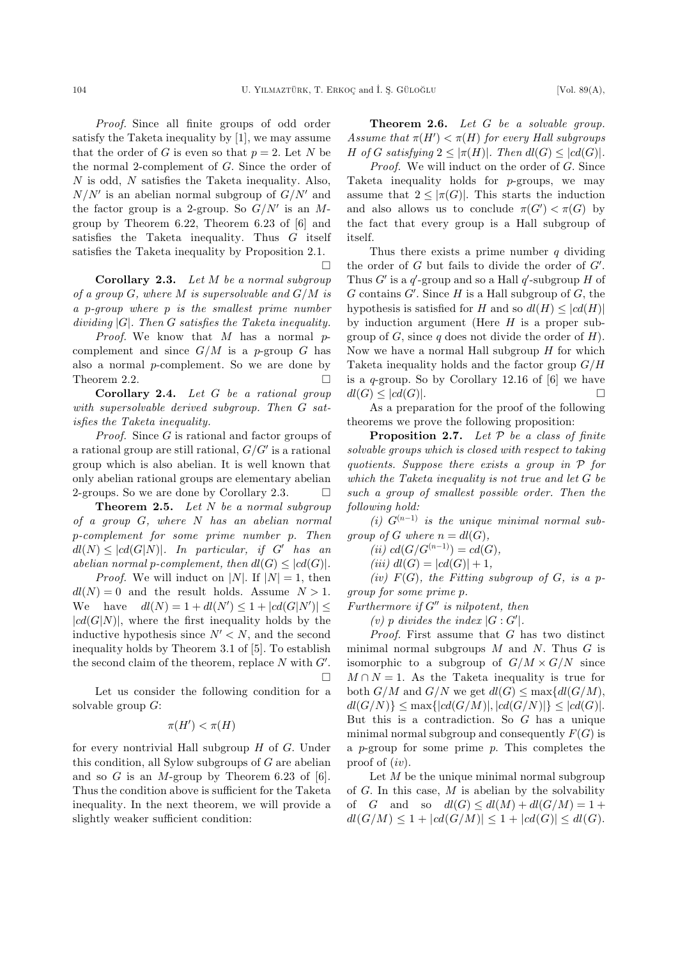$\Box$ 

Proof. Since all finite groups of odd order satisfy the Taketa inequality by [1], we may assume that the order of G is even so that  $p = 2$ . Let N be the normal 2-complement of G. Since the order of  $N$  is odd,  $N$  satisfies the Taketa inequality. Also,  $N/N'$  is an abelian normal subgroup of  $G/N'$  and the factor group is a 2-group. So  $G/N'$  is an Mgroup by Theorem 6.22, Theorem 6.23 of [6] and satisfies the Taketa inequality. Thus  $G$  itself satisfies the Taketa inequality by Proposition 2.1.

Corollary 2.3. Let M be a normal subgroup of a group  $G$ , where  $M$  is supersolvable and  $G/M$  is a p-group where p is the smallest prime number dividing  $|G|$ . Then G satisfies the Taketa inequality.

*Proof.* We know that  $M$  has a normal  $p$ complement and since  $G/M$  is a p-group G has also a normal p-complement. So we are done by Theorem 2.2.  $\Box$ 

Corollary 2.4. Let G be a rational group with supersolvable derived subgroup. Then G satisfies the Taketa inequality.

Proof. Since G is rational and factor groups of a rational group are still rational,  $G/G'$  is a rational group which is also abelian. It is well known that only abelian rational groups are elementary abelian 2-groups. So we are done by Corollary 2.3.  $\Box$ 

**Theorem 2.5.** Let  $N$  be a normal subgroup of a group G, where N has an abelian normal p-complement for some prime number p. Then  $dl(N) \leq |cd(G|N)|$ . In particular, if G' has an abelian normal p-complement, then  $dl(G) \leq |cd(G)|$ .

*Proof.* We will induct on |N|. If  $|N|=1$ , then  $dl(N) = 0$  and the result holds. Assume  $N > 1$ . We have  $dl(N) = 1 + dl(N') \leq 1 + |cd(G|N')| \leq$  $|cd(G|N)|$ , where the first inequality holds by the inductive hypothesis since  $N' < N$ , and the second inequality holds by Theorem 3.1 of [5]. To establish the second claim of the theorem, replace  $N$  with  $G'$ .  $\Box$ 

Let us consider the following condition for a solvable group  $G$ :

$$
\pi(H') < \pi(H)
$$

for every nontrivial Hall subgroup  $H$  of  $G$ . Under this condition, all Sylow subgroups of  $G$  are abelian and so  $G$  is an M-group by Theorem 6.23 of [6]. Thus the condition above is sufficient for the Taketa inequality. In the next theorem, we will provide a slightly weaker sufficient condition:

Theorem 2.6. Let G be a solvable group. Assume that  $\pi(H') < \pi(H)$  for every Hall subgroups H of G satisfying  $2 \leq |\pi(H)|$ . Then  $dl(G) \leq |cd(G)|$ .

Proof. We will induct on the order of G. Since Taketa inequality holds for p-groups, we may assume that  $2 \leq |\pi(G)|$ . This starts the induction and also allows us to conclude  $\pi(G') < \pi(G)$  by the fact that every group is a Hall subgroup of itself.

Thus there exists a prime number  $q$  dividing the order of  $G$  but fails to divide the order of  $G'$ . Thus  $G'$  is a  $q'$ -group and so a Hall  $q'$ -subgroup H of  $G$  contains  $G'$ . Since  $H$  is a Hall subgroup of  $G$ , the hypothesis is satisfied for H and so  $dl(H) \leq |cd(H)|$ by induction argument (Here  $H$  is a proper subgroup of  $G$ , since q does not divide the order of  $H$ ). Now we have a normal Hall subgroup  $H$  for which Taketa inequality holds and the factor group  $G/H$ is a  $q$ -group. So by Corollary 12.16 of  $[6]$  we have  $dl(G) \leq |cd(G)|.$ 

As a preparation for the proof of the following theorems we prove the following proposition:

**Proposition 2.7.** Let  $P$  be a class of finite solvable groups which is closed with respect to taking quotients. Suppose there exists a group in P for which the Taketa inequality is not true and let G be such a group of smallest possible order. Then the following hold:

(i)  $G^{(n-1)}$  is the unique minimal normal subgroup of G where  $n = dl(G)$ ,

(*ii*)  $cd(G/G^{(n-1)}) = cd(G),$ 

(iii)  $dl(G) = |cd(G)| + 1$ ,

(iv)  $F(G)$ , the Fitting subgroup of G, is a pgroup for some prime p.

Furthermore if  $G''$  is nilpotent, then

(v) p divides the index  $|G:G'|$ .

Proof. First assume that G has two distinct minimal normal subgroups  $M$  and  $N$ . Thus  $G$  is isomorphic to a subgroup of  $G/M \times G/N$  since  $M \cap N = 1$ . As the Taketa inequality is true for both  $G/M$  and  $G/N$  we get  $dl(G) \leq \max\{dl(G/M),$  $dl(G/N)\}< \max\{|cd(G/M)|, |cd(G/N)|\}< |cd(G)|.$ But this is a contradiction. So  $G$  has a unique minimal normal subgroup and consequently  $F(G)$  is a p-group for some prime  $p$ . This completes the proof of  $(iv)$ .

Let  $M$  be the unique minimal normal subgroup of  $G$ . In this case,  $M$  is abelian by the solvability of G and so  $dl(G) \leq dl(M) + dl(G/M) = 1 +$  $dl(G/M) \leq 1 + |cd(G/M)| \leq 1 + |cd(G)| \leq dl(G)$ .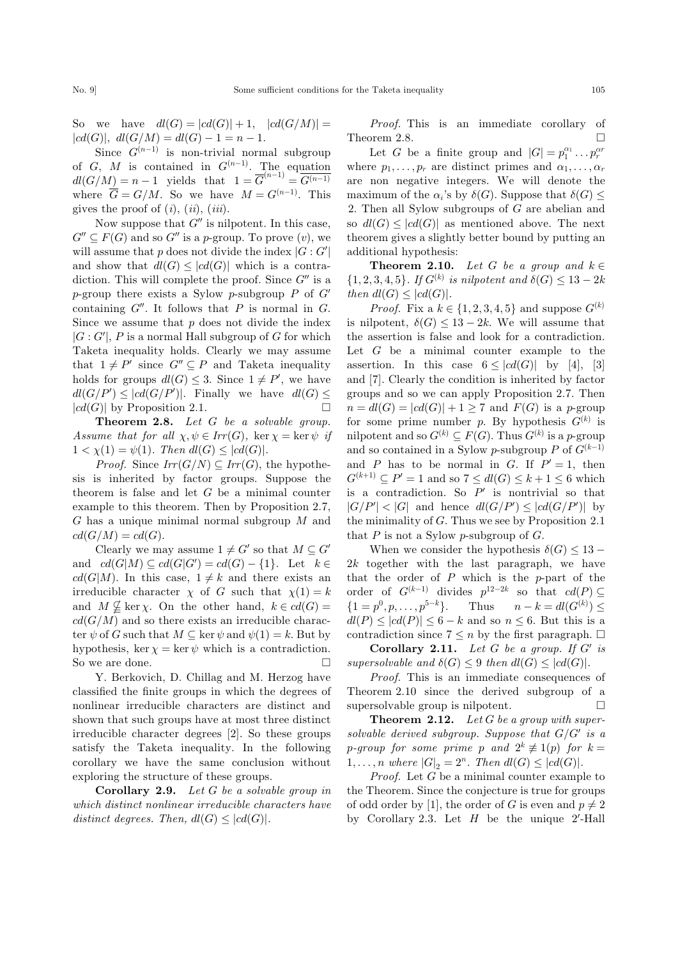So we have  $dl(G) = |cd(G)| + 1$ ,  $|cd(G/M)| =$  $|cd(G)|$ ,  $dl(G/M) = dl(G) - 1 = n - 1$ .

Since  $G^{(n-1)}$  is non-trivial normal subgroup of G, M is contained in  $G^{(n-1)}$ . The equation  $dl(G/M)=n-1$  yields that  $1 = \overline{G}^{(n-1)} = \overline{G^{(n-1)}}$ where  $\overline{G} = G/M$ . So we have  $M = G^{(n-1)}$ . This gives the proof of  $(i)$ ,  $(ii)$ ,  $(iii)$ .

Now suppose that  $G''$  is nilpotent. In this case,  $G'' \subseteq F(G)$  and so  $G''$  is a p-group. To prove  $(v)$ , we will assume that p does not divide the index  $|G:G'|$ and show that  $dl(G) \leq |cd(G)|$  which is a contradiction. This will complete the proof. Since  $G''$  is a p-group there exists a Sylow p-subgroup P of  $G'$ containing  $G''$ . It follows that P is normal in G. Since we assume that  $p$  does not divide the index  $|G: G'|$ , P is a normal Hall subgroup of G for which Taketa inequality holds. Clearly we may assume that  $1 \neq P'$  since  $G'' \subseteq P$  and Taketa inequality holds for groups  $dl(G) \leq 3$ . Since  $1 \neq P'$ , we have  $dl(G/P') \leq |cd(G/P')|$ . Finally we have  $dl(G) \leq$  $|cd(G)|$  by Proposition 2.1.  $\Box$ 

Theorem 2.8. Let G be a solvable group. Assume that for all  $\chi, \psi \in Irr(G)$ , ker  $\chi = \ker \psi$  if  $1 < \chi(1) = \psi(1)$ . Then  $dl(G) \leq |cd(G)|$ .

*Proof.* Since  $Irr(G/N) \subseteq Irr(G)$ , the hypothesis is inherited by factor groups. Suppose the theorem is false and let  $G$  be a minimal counter example to this theorem. Then by Proposition 2.7, G has a unique minimal normal subgroup M and  $cd(G/M) = cd(G)$ .

Clearly we may assume  $1 \neq G'$  so that  $M \subseteq G'$ and  $cd(G|M) \subseteq cd(G|G') = cd(G) - \{1\}$ . Let  $k \in$  $cd(G|M)$ . In this case,  $1 \neq k$  and there exists an irreducible character  $\chi$  of G such that  $\chi(1) = k$ and  $M \nsubseteq \ker \chi$ . On the other hand,  $k \in cd(G)$  $cd(G/M)$  and so there exists an irreducible character  $\psi$  of G such that  $M \subseteq \ker \psi$  and  $\psi(1) = k$ . But by hypothesis, ker  $\chi = \ker \psi$  which is a contradiction. So we are done.  $\Box$ 

Y. Berkovich, D. Chillag and M. Herzog have classified the finite groups in which the degrees of nonlinear irreducible characters are distinct and shown that such groups have at most three distinct irreducible character degrees [2]. So these groups satisfy the Taketa inequality. In the following corollary we have the same conclusion without exploring the structure of these groups.

Corollary 2.9. Let G be a solvable group in which distinct nonlinear irreducible characters have distinct degrees. Then,  $dl(G) \leq |cd(G)|$ .

Proof. This is an immediate corollary of Theorem 2.8.  $\Box$ 

Let G be a finite group and  $|G| = p_1^{\alpha_1} \dots p_r^{\alpha_r}$ where  $p_1, \ldots, p_r$  are distinct primes and  $\alpha_1, \ldots, \alpha_r$ are non negative integers. We will denote the maximum of the  $\alpha$ 's by  $\delta(G)$ . Suppose that  $\delta(G)$ 2. Then all Sylow subgroups of G are abelian and so  $dl(G) \leq |cd(G)|$  as mentioned above. The next theorem gives a slightly better bound by putting an additional hypothesis:

**Theorem 2.10.** Let G be a group and  $k \in \mathbb{Z}$  $\{1, 2, 3, 4, 5\}$ . If  $G^{(k)}$  is nilpotent and  $\delta(G) \leq 13 - 2k$ then  $dl(G) \leq |cd(G)|$ .

*Proof.* Fix a  $k \in \{1, 2, 3, 4, 5\}$  and suppose  $G^{(k)}$ is nilpotent,  $\delta(G) \leq 13 - 2k$ . We will assume that the assertion is false and look for a contradiction. Let  $G$  be a minimal counter example to the assertion. In this case  $6 \leq |cd(G)|$  by [4], [3] and [7]. Clearly the condition is inherited by factor groups and so we can apply Proposition 2.7. Then  $n = dl(G) = |cd(G)| + 1 \ge 7$  and  $F(G)$  is a p-group for some prime number p. By hypothesis  $G^{(k)}$  is nilpotent and so  $G^{(k)} \subseteq F(G)$ . Thus  $G^{(k)}$  is a p-group and so contained in a Sylow p-subgroup P of  $G^{(k-1)}$ and P has to be normal in G. If  $P' = 1$ , then  $G^{(k+1)} \subseteq P' = 1$  and so  $7 \leq dl(G) \leq k+1 \leq 6$  which is a contradiction. So  $P'$  is nontrivial so that  $|G/P'| < |G|$  and hence  $dl(G/P') \leq |cd(G/P')|$  by the minimality of G. Thus we see by Proposition 2.1 that  $P$  is not a Sylow p-subgroup of  $G$ .

When we consider the hypothesis  $\delta(G) \leq 13$  –  $2k$  together with the last paragraph, we have that the order of  $P$  which is the  $p$ -part of the order of  $G^{(k-1)}$  divides  $p^{12-2k}$  so that  $cd(P) \subseteq$  $\{1 = p^0, p, \ldots, p^{5-k}\}.$  Thus  $n - k = dl(G^{(k)}) \leq$  $dl(P) \leq |cd(P)| \leq 6 - k$  and so  $n \leq 6$ . But this is a contradiction since  $7 \leq n$  by the first paragraph.  $\Box$ 

Corollary 2.11. Let  $G$  be a group. If  $G'$  is supersolvable and  $\delta(G) \leq 9$  then  $dl(G) \leq |cd(G)|$ .

Proof. This is an immediate consequences of Theorem 2.10 since the derived subgroup of a supersolvable group is nilpotent.  $\Box$ 

**Theorem 2.12.** Let  $G$  be a group with supersolvable derived subgroup. Suppose that  $G/G'$  is a p-group for some prime p and  $2^k \not\equiv 1(p)$  for  $k =$  $1, \ldots, n$  where  $|G|_2 = 2^n$ . Then  $dl(G) \leq |cd(G)|$ .

*Proof.* Let  $G$  be a minimal counter example to the Theorem. Since the conjecture is true for groups of odd order by [1], the order of G is even and  $p \neq 2$ by Corollary 2.3. Let  $H$  be the unique 2'-Hall